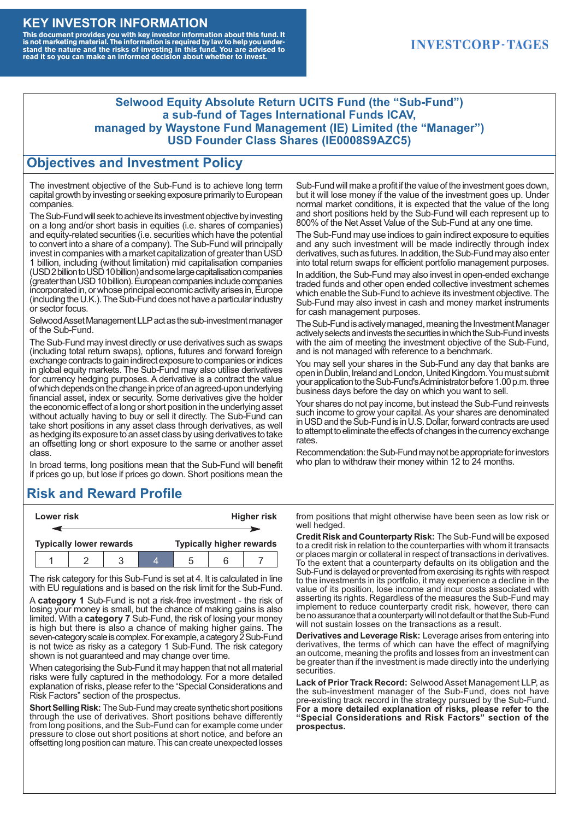#### **KEY INVESTOR INFORMATION**

This document provides you with key investor information about this fund. It<br>is not marketing material. The information is required by law to help you under-<br>stand the nature and the risks of investing in this fund. You ar

### **INVESTCORP-TAGES**

#### **Selwood Equity Absolute Return UCITS Fund (the "Sub-Fund") a sub-fund of Tages International Funds ICAV, managed by Waystone Fund Management (IE) Limited (the "Manager") USD Founder Class Shares (IE0008S9AZC5)**

### **Objectives and Investment Policy**

The investment objective of the Sub-Fund is to achieve long term capital growth by investing or seeking exposure primarily to European companies.

The Sub-Fund will seek to achieve its investment objective by investing on a long and/or short basis in equities (i.e. shares of companies) and equity-related securities (i.e. securities which have the potential to convert into a share of a company). The Sub-Fund will principally invest in companies with a market capitalization of greater than USD 1 billion, including (without limitation) mid capitalisation companies (USD 2 billion to USD 10 billion) and some large capitalisation companies (greaterthanUSD10billion).European companiesinclude companies incorporated in, or whose principal economic activity arises in, Europe (including the U.K.). The Sub-Fund does not have a particular industry or sector focus.

Selwood Asset Management LLP act as the sub-investment manager of the Sub-Fund.

The Sub-Fund may invest directly or use derivatives such as swaps (including total return swaps), options, futures and forward foreign exchange contracts to gain indirect exposure to companies or indices in global equity markets. The Sub-Fund may also utilise derivatives for currency hedging purposes. A derivative is a contract the value of which depends on the change in price of an agreed-upon underlying financial asset, index or security. Some derivatives give the holder the economic effect of a long or short position in the underlying asset without actually having to buy or sell it directly. The Sub-Fund can take short positions in any asset class through derivatives, as well as hedging its exposure to an asset class by using derivatives to take an offsetting long or short exposure to the same or another asset class.

In broad terms, long positions mean that the Sub-Fund will benefit if prices go up, but lose if prices go down. Short positions mean the

# **Risk and Reward Profile**

|  | Lower risk |                                |  | <b>Higher risk</b> |                                 |  |
|--|------------|--------------------------------|--|--------------------|---------------------------------|--|
|  |            |                                |  |                    |                                 |  |
|  |            | <b>Typically lower rewards</b> |  |                    | <b>Typically higher rewards</b> |  |
|  |            |                                |  | :5                 |                                 |  |

The risk category for this Sub-Fund is set at 4. It is calculated in line with EU regulations and is based on the risk limit for the Sub-Fund.

A **category 1** Sub-Fund is not a risk-free investment - the risk of losing your money is small, but the chance of making gains is also limited. With a **category 7** Sub-Fund, the risk of losing your money is high but there is also a chance of making higher gains. The seven-category scale is complex. For example, a category 2 Sub-Fund is not twice as risky as a category 1 Sub-Fund. The risk category shown is not guaranteed and may change over time.

When categorising the Sub-Fund it may happen that not all material risks were fully captured in the methodology. For a more detailed explanation of risks, please refer to the "Special Considerations and Risk Factors" section of the prospectus.

**Short Selling Risk:** The Sub-Fund may create synthetic short positions through the use of derivatives. Short positions behave differently from long positions, and the Sub-Fund can for example come under pressure to close out short positions at short notice, and before an offsetting long position can mature. This can create unexpected losses

Sub-Fund will make a profit if the value of the investment goes down, but it will lose money if the value of the investment goes up. Under normal market conditions, it is expected that the value of the long and short positions held by the Sub-Fund will each represent up to 800% of the Net Asset Value of the Sub-Fund at any one time.

The Sub-Fund may use indices to gain indirect exposure to equities and any such investment will be made indirectly through index derivatives, such as futures. In addition, the Sub-Fund may also enter into total return swaps for efficient portfolio management purposes.

In addition, the Sub-Fund may also invest in open-ended exchange traded funds and other open ended collective investment schemes which enable the Sub-Fund to achieve its investment objective. The Sub-Fund may also invest in cash and money market instruments for cash management purposes.

The Sub-Fund is actively managed, meaning the Investment Manager actively selects and invests the securities in which the Sub-Fund invests with the aim of meeting the investment objective of the Sub-Fund, and is not managed with reference to a benchmark.

You may sell your shares in the Sub-Fund any day that banks are open in Dublin, Ireland and London, United Kingdom. You must submit your application to the Sub-Fund's Administrator before 1.00 p.m. three business days before the day on which you want to sell.

Your shares do not pay income, but instead the Sub-Fund reinvests such income to grow your capital. As your shares are denominated in USD and the Sub-Fund is in U.S. Dollar, forward contracts are used to attempt to eliminate the effects of changes in the currency exchange rates.

Recommendation: the Sub-Fund may not be appropriate for investors who plan to withdraw their money within 12 to 24 months.

from positions that might otherwise have been seen as low risk or well hedged.

**Credit Risk and Counterparty Risk:** The Sub-Fund will be exposed to a credit risk in relation to the counterparties with whom it transacts or places margin or collateral in respect of transactions in derivatives. To the extent that a counterparty defaults on its obligation and the Sub-Fund is delayed or prevented from exercising its rights with respect to the investments in its portfolio, it may experience a decline in the value of its position, lose income and incur costs associated with asserting its rights. Regardless of the measures the Sub-Fund may implement to reduce counterparty credit risk, however, there can be no assurance that a counterparty will not default or that the Sub-Fund will not sustain losses on the transactions as a result.

**Derivatives and Leverage Risk:** Leverage arises from entering into derivatives, the terms of which can have the effect of magnifying an outcome, meaning the profits and losses from an investment can be greater than if the investment is made directly into the underlying **securities**.

**Lack of Prior Track Record:** Selwood Asset Management LLP, as the sub-investment manager of the Sub-Fund, does not have pre-existing track record in the strategy pursued by the Sub-Fund. **For a more detailed explanation of risks, please refer to the "Special Considerations and Risk Factors" section of the prospectus.**